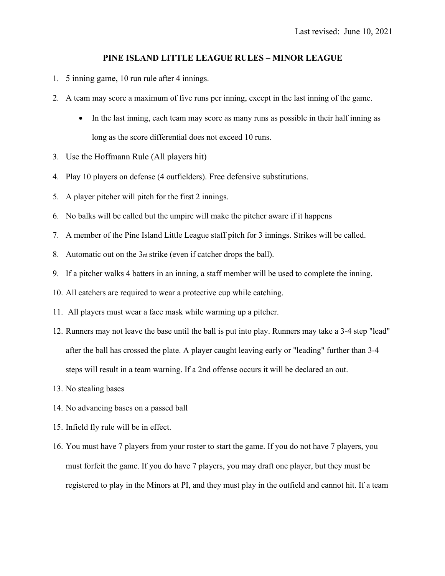## **PINE ISLAND LITTLE LEAGUE RULES – MINOR LEAGUE**

- 1. 5 inning game, 10 run rule after 4 innings.
- 2. A team may score a maximum of five runs per inning, except in the last inning of the game.
	- In the last inning, each team may score as many runs as possible in their half inning as long as the score differential does not exceed 10 runs.
- 3. Use the Hoffmann Rule (All players hit)
- 4. Play 10 players on defense (4 outfielders). Free defensive substitutions.
- 5. A player pitcher will pitch for the first 2 innings.
- 6. No balks will be called but the umpire will make the pitcher aware if it happens
- 7. A member of the Pine Island Little League staff pitch for 3 innings. Strikes will be called.
- 8. Automatic out on the 3rd strike (even if catcher drops the ball).
- 9. If a pitcher walks 4 batters in an inning, a staff member will be used to complete the inning.
- 10. All catchers are required to wear a protective cup while catching.
- 11. All players must wear a face mask while warming up a pitcher.
- 12. Runners may not leave the base until the ball is put into play. Runners may take a 3-4 step "lead" after the ball has crossed the plate. A player caught leaving early or "leading" further than 3-4 steps will result in a team warning. If a 2nd offense occurs it will be declared an out.
- 13. No stealing bases
- 14. No advancing bases on a passed ball
- 15. Infield fly rule will be in effect.
- 16. You must have 7 players from your roster to start the game. If you do not have 7 players, you must forfeit the game. If you do have 7 players, you may draft one player, but they must be registered to play in the Minors at PI, and they must play in the outfield and cannot hit. If a team